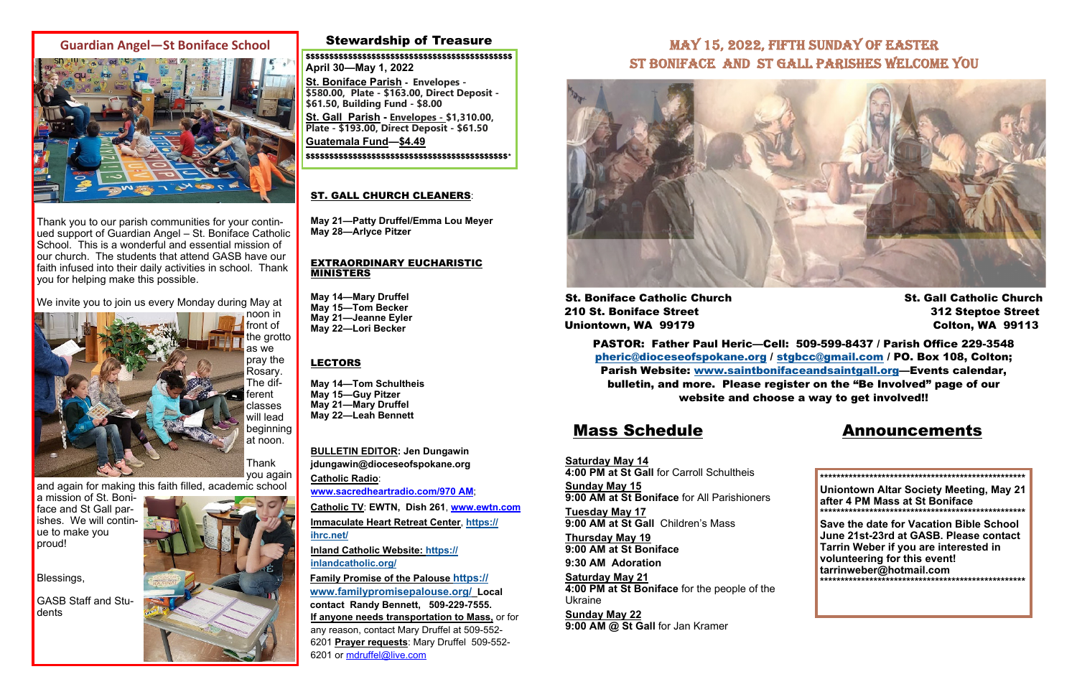### Stewardship of Treasure

## Mass Schedule Announcements

**Saturday May 14 4:00 PM at St Gall** for Carroll Schultheis**Sunday May 15 9:00 AM at St Boniface** for All Parishioners **Tuesday May 17 9:00 AM at St Gall** Children's Mass **Thursday May 19 9:00 AM at St Boniface 9:30 AM Adoration Saturday May 21 4:00 PM at St Boniface** for the people of the Ukraine

**Sunday May 22 9:00 AM @ St Gall** for Jan Kramer

**BULLETIN EDITOR: Jen Dungawin jdungawin@dioceseofspokane.org Catholic Radio**: **www.sacredheartradio.com/970 AM**; **Catholic TV**: **EWTN, Dish 261**, **www.ewtn.com**

**Immaculate Heart Retreat Center**, **https:// ihrc.net/**

**Inland Catholic Website: https:// inlandcatholic.org/**

**Family Promise of the Palouse https:// www.familypromisepalouse.org/ Local contact Randy Bennett, 509-229-7555. If anyone needs transportation to Mass,** or for any reason, contact Mary Druffel at 509-552- 6201 **Prayer requests**: Mary Druffel 509-552- 6201 or mdruffel@live.com

## MAY 15, 2022, FIFTH SUNDAY OF EASTER ST BONIFACE AND ST GALL PARISHES WELCOME YOU



St. Boniface Catholic Church St. Gall Catholic Church St. Gall Catholic Church 210 St. Boniface Street 312 Steptoe Street Uniontown, WA 99179 Colton, WA 99113

### ST. GALL CHURCH CLEANERS:

**May 21—Patty Druffel/Emma Lou Meyer May 28—Arlyce Pitzer** 

#### EXTRAORDINARY EUCHARISTIC MINISTERS

**May 14—Mary Druffel May 15—Tom Becker May 21—Jeanne Eyler May 22—Lori Becker** 

### LECTORS

**May 14—Tom Schultheis May 15—Guy Pitzer May 21—Mary Druffel May 22—Leah Bennett** 

> **\*\*\*\*\*\*\*\*\*\*\*\*\*\*\*\*\*\*\*\*\*\*\*\*\*\*\*\*\*\*\*\*\*\*\*\*\*\*\*\*\*\*\*\*\*\*\*\*\*\* Uniontown Altar Society Meeting, May 21 after 4 PM Mass at St Boniface \*\*\*\*\*\*\*\*\*\*\*\*\*\*\*\*\*\*\*\*\*\*\*\*\*\*\*\*\*\*\*\*\*\*\*\*\*\*\*\*\*\*\*\*\*\*\*\*\*\***

> **Save the date for Vacation Bible School June 21st-23rd at GASB. Please contact Tarrin Weber if you are interested in volunteering for this event! tarrinweber@hotmail.com \*\*\*\*\*\*\*\*\*\*\*\*\*\*\*\*\*\*\*\*\*\*\*\*\*\*\*\*\*\*\*\*\*\*\*\*\*\*\*\*\*\*\*\*\*\*\*\*\*\***

\$\$\$\$\$\$\$\$\$\$\$\$\$\$\$\$\$\$\$\$\$\$\$\$\$\$\$\$\$\$\$\$\$\$\$\$\$\$\$\$\$\$\$\$ **April 30—May 1, 2022** 

**St. Boniface Parish - Envelopes - \$580.00, Plate - \$163.00, Direct Deposit - \$61.50, Building Fund - \$8.00** 

**St. Gall Parish - Envelopes - \$1,310.00, Plate - \$193.00, Direct Deposit - \$61.50** 

**Guatemala Fund—\$4.49**  \$\$\$\$\$\$\$\$\$\$\$\$\$\$\$\$\$\$\$\$\$\$\$\$\$\$\$\$\$\$\$\$\$\$\$\$\$\$\$\$\$\$\$\*

> PASTOR: Father Paul Heric—Cell: 509-599-8437 / Parish Office 229-3548 pheric@dioceseofspokane.org / stgbcc@gmail.com / PO. Box 108, Colton; Parish Website: www.saintbonifaceandsaintgall.org—Events calendar, bulletin, and more. Please register on the "Be Involved" page of our website and choose a way to get involved!!

## **Guardian Angel—St Boniface School**



Thank you to our parish communities for your continued support of Guardian Angel – St. Boniface Catholic School. This is a wonderful and essential mission of our church. The students that attend GASB have our faith infused into their daily activities in school. Thank you for helping make this possible.

We invite you to join us every Monday during May at

front of the grotto as we pray the Rosary. The different classes will lead beginning at noon. Thank



and again for making this faith filled, academic school

a mission of St. Boniface and St Gall parishes. We will continue to make you proud!

Blessings,

GASB Staff and Students